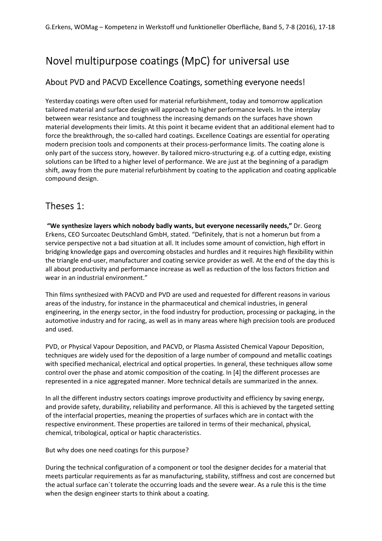# Novel multipurpose coatings (MpC) for universal use

### About PVD and PACVD Excellence Coatings, something everyone needs!

Yesterday coatings were often used for material refurbishment, today and tomorrow application tailored material and surface design will approach to higher performance levels. In the interplay between wear resistance and toughness the increasing demands on the surfaces have shown material developments their limits. At this point it became evident that an additional element had to force the breakthrough, the so-called hard coatings. Excellence Coatings are essential for operating modern precision tools and components at their process-performance limits. The coating alone is only part of the success story, however. By tailored micro-structuring e.g. of a cutting edge, existing solutions can be lifted to a higher level of performance. We are just at the beginning of a paradigm shift, away from the pure material refurbishment by coating to the application and coating applicable compound design.

## Theses 1:

 **"We synthesize layers which nobody badly wants, but everyone necessarily needs,"** Dr. Georg Erkens, CEO Surcoatec Deutschland GmbH, stated. "Definitely, that is not a homerun but from a service perspective not a bad situation at all. It includes some amount of conviction, high effort in bridging knowledge gaps and overcoming obstacles and hurdles and it requires high flexibility within the triangle end-user, manufacturer and coating service provider as well. At the end of the day this is all about productivity and performance increase as well as reduction of the loss factors friction and wear in an industrial environment."

Thin films synthesized with PACVD and PVD are used and requested for different reasons in various areas of the industry, for instance in the pharmaceutical and chemical industries, in general engineering, in the energy sector, in the food industry for production, processing or packaging, in the automotive industry and for racing, as well as in many areas where high precision tools are produced and used.

PVD, or Physical Vapour Deposition, and PACVD, or Plasma Assisted Chemical Vapour Deposition, techniques are widely used for the deposition of a large number of compound and metallic coatings with specified mechanical, electrical and optical properties. In general, these techniques allow some control over the phase and atomic composition of the coating. In [4] the different processes are represented in a nice aggregated manner. More technical details are summarized in the annex.

In all the different industry sectors coatings improve productivity and efficiency by saving energy, and provide safety, durability, reliability and performance. All this is achieved by the targeted setting of the interfacial properties, meaning the properties of surfaces which are in contact with the respective environment. These properties are tailored in terms of their mechanical, physical, chemical, tribological, optical or haptic characteristics.

But why does one need coatings for this purpose?

During the technical configuration of a component or tool the designer decides for a material that meets particular requirements as far as manufacturing, stability, stiffness and cost are concerned but the actual surface can´t tolerate the occurring loads and the severe wear. As a rule this is the time when the design engineer starts to think about a coating.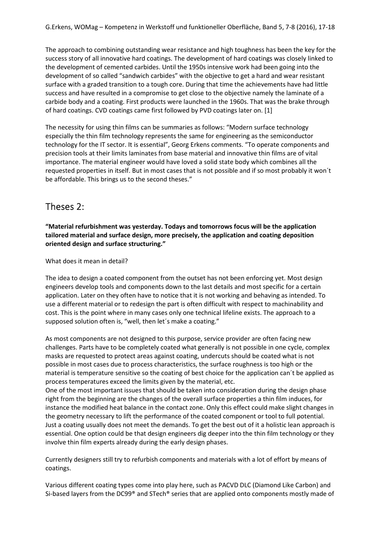The approach to combining outstanding wear resistance and high toughness has been the key for the success story of all innovative hard coatings. The development of hard coatings was closely linked to the development of cemented carbides. Until the 1950s intensive work had been going into the development of so called "sandwich carbides" with the objective to get a hard and wear resistant surface with a graded transition to a tough core. During that time the achievements have had little success and have resulted in a compromise to get close to the objective namely the laminate of a carbide body and a coating. First products were launched in the 1960s. That was the brake through of hard coatings. CVD coatings came first followed by PVD coatings later on. [1]

The necessity for using thin films can be summaries as follows: "Modern surface technology especially the thin film technology represents the same for engineering as the semiconductor technology for the IT sector. It is essential", Georg Erkens comments. "To operate components and precision tools at their limits laminates from base material and innovative thin films are of vital importance. The material engineer would have loved a solid state body which combines all the requested properties in itself. But in most cases that is not possible and if so most probably it won´t be affordable. This brings us to the second theses."

## Theses 2:

**"Material refurbishment was yesterday. Todays and tomorrows focus will be the application tailored material and surface design, more precisely, the application and coating deposition oriented design and surface structuring."**

What does it mean in detail?

The idea to design a coated component from the outset has not been enforcing yet. Most design engineers develop tools and components down to the last details and most specific for a certain application. Later on they often have to notice that it is not working and behaving as intended. To use a different material or to redesign the part is often difficult with respect to machinability and cost. This is the point where in many cases only one technical lifeline exists. The approach to a supposed solution often is, "well, then let´s make a coating."

As most components are not designed to this purpose, service provider are often facing new challenges. Parts have to be completely coated what generally is not possible in one cycle, complex masks are requested to protect areas against coating, undercuts should be coated what is not possible in most cases due to process characteristics, the surface roughness is too high or the material is temperature sensitive so the coating of best choice for the application can´t be applied as process temperatures exceed the limits given by the material, etc.

One of the most important issues that should be taken into consideration during the design phase right from the beginning are the changes of the overall surface properties a thin film induces, for instance the modified heat balance in the contact zone. Only this effect could make slight changes in the geometry necessary to lift the performance of the coated component or tool to full potential. Just a coating usually does not meet the demands. To get the best out of it a holistic lean approach is essential. One option could be that design engineers dig deeper into the thin film technology or they involve thin film experts already during the early design phases.

Currently designers still try to refurbish components and materials with a lot of effort by means of coatings.

Various different coating types come into play here, such as PACVD DLC (Diamond Like Carbon) and Si-based layers from the DC99® and STech® series that are applied onto components mostly made of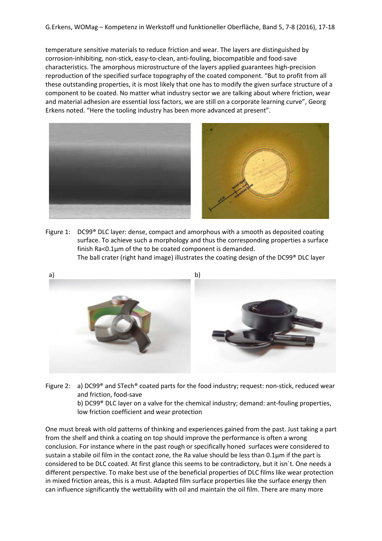temperature sensitive materials to reduce friction and wear. The layers are distinguished by corrosion-inhibiting, non-stick, easy-to-clean, anti-fouling, biocompatible and food-save characteristics. The amorphous microstructure of the layers applied guarantees high-precision reproduction of the specified surface topography of the coated component. "But to profit from all these outstanding properties, it is most likely that one has to modify the given surface structure of a component to be coated. No matter what industry sector we are talking about where friction, wear and material adhesion are essential loss factors, we are still on a corporate learning curve", Georg Erkens noted. "Here the tooling industry has been more advanced at present".



Figure 1: DC99® DLC layer: dense, compact and amorphous with a smooth as deposited coating surface. To achieve such a morphology and thus the corresponding properties a surface finish Ra<0.1µm of the to be coated component is demanded. The ball crater (right hand image) illustrates the coating design of the DC99® DLC layer



Figure 2: a) DC99® and STech® coated parts for the food industry; request: non-stick, reduced wear and friction, food-save b) DC99® DLC layer on a valve for the chemical industry; demand: ant-fouling properties, low friction coefficient and wear protection

One must break with old patterns of thinking and experiences gained from the past. Just taking a part from the shelf and think a coating on top should improve the performance is often a wrong conclusion. For instance where in the past rough or specifically honed surfaces were considered to sustain a stabile oil film in the contact zone, the Ra value should be less than 0.1µm if the part is considered to be DLC coated. At first glance this seems to be contradictory, but it isn´t. One needs a different perspective. To make best use of the beneficial properties of DLC films like wear protection in mixed friction areas, this is a must. Adapted film surface properties like the surface energy then can influence significantly the wettability with oil and maintain the oil film. There are many more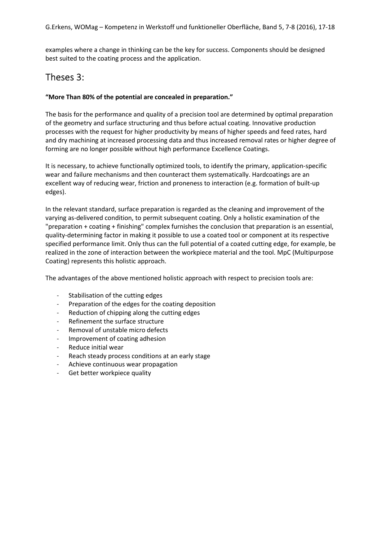examples where a change in thinking can be the key for success. Components should be designed best suited to the coating process and the application.

## Theses 3:

#### **"More Than 80% of the potential are concealed in preparation."**

The basis for the performance and quality of a precision tool are determined by optimal preparation of the geometry and surface structuring and thus before actual coating. Innovative production processes with the request for higher productivity by means of higher speeds and feed rates, hard and dry machining at increased processing data and thus increased removal rates or higher degree of forming are no longer possible without high performance Excellence Coatings.

It is necessary, to achieve functionally optimized tools, to identify the primary, application-specific wear and failure mechanisms and then counteract them systematically. Hardcoatings are an excellent way of reducing wear, friction and proneness to interaction (e.g. formation of built-up edges).

In the relevant standard, surface preparation is regarded as the cleaning and improvement of the varying as-delivered condition, to permit subsequent coating. Only a holistic examination of the "preparation + coating + finishing" complex furnishes the conclusion that preparation is an essential, quality-determining factor in making it possible to use a coated tool or component at its respective specified performance limit. Only thus can the full potential of a coated cutting edge, for example, be realized in the zone of interaction between the workpiece material and the tool. MpC (Multipurpose Coating) represents this holistic approach.

The advantages of the above mentioned holistic approach with respect to precision tools are:

- Stabilisation of the cutting edges
- Preparation of the edges for the coating deposition
- Reduction of chipping along the cutting edges
- Refinement the surface structure
- Removal of unstable micro defects
- Improvement of coating adhesion
- Reduce initial wear
- Reach steady process conditions at an early stage
- Achieve continuous wear propagation
- Get better workpiece quality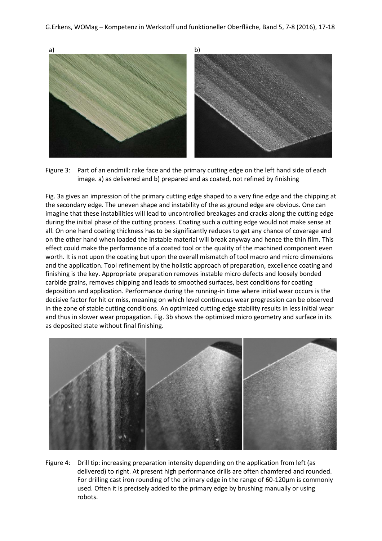

Figure 3: Part of an endmill: rake face and the primary cutting edge on the left hand side of each image. a) as delivered and b) prepared and as coated, not refined by finishing

Fig. 3a gives an impression of the primary cutting edge shaped to a very fine edge and the chipping at the secondary edge. The uneven shape and instability of the as ground edge are obvious. One can imagine that these instabilities will lead to uncontrolled breakages and cracks along the cutting edge during the initial phase of the cutting process. Coating such a cutting edge would not make sense at all. On one hand coating thickness has to be significantly reduces to get any chance of coverage and on the other hand when loaded the instable material will break anyway and hence the thin film. This effect could make the performance of a coated tool or the quality of the machined component even worth. It is not upon the coating but upon the overall mismatch of tool macro and micro dimensions and the application. Tool refinement by the holistic approach of preparation, excellence coating and finishing is the key. Appropriate preparation removes instable micro defects and loosely bonded carbide grains, removes chipping and leads to smoothed surfaces, best conditions for coating deposition and application. Performance during the running-in time where initial wear occurs is the decisive factor for hit or miss, meaning on which level continuous wear progression can be observed in the zone of stable cutting conditions. An optimized cutting edge stability results in less initial wear and thus in slower wear propagation. Fig. 3b shows the optimized micro geometry and surface in its as deposited state without final finishing.



Figure 4: Drill tip: increasing preparation intensity depending on the application from left (as delivered) to right. At present high performance drills are often chamfered and rounded. For drilling cast iron rounding of the primary edge in the range of 60-120µm is commonly used. Often it is precisely added to the primary edge by brushing manually or using robots.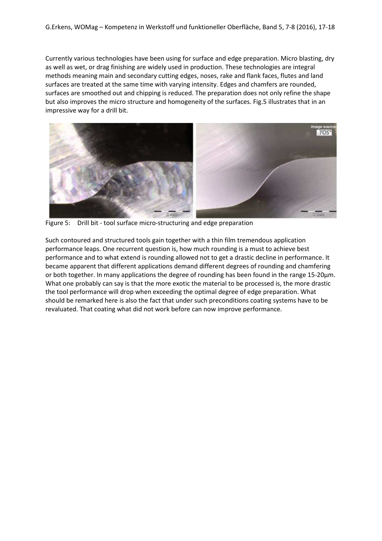Currently various technologies have been using for surface and edge preparation. Micro blasting, dry as well as wet, or drag finishing are widely used in production. These technologies are integral methods meaning main and secondary cutting edges, noses, rake and flank faces, flutes and land surfaces are treated at the same time with varying intensity. Edges and chamfers are rounded, surfaces are smoothed out and chipping is reduced. The preparation does not only refine the shape but also improves the micro structure and homogeneity of the surfaces. Fig.5 illustrates that in an impressive way for a drill bit.



Figure 5: Drill bit - tool surface micro-structuring and edge preparation

Such contoured and structured tools gain together with a thin film tremendous application performance leaps. One recurrent question is, how much rounding is a must to achieve best performance and to what extend is rounding allowed not to get a drastic decline in performance. It became apparent that different applications demand different degrees of rounding and chamfering or both together. In many applications the degree of rounding has been found in the range 15-20μm. What one probably can say is that the more exotic the material to be processed is, the more drastic the tool performance will drop when exceeding the optimal degree of edge preparation. What should be remarked here is also the fact that under such preconditions coating systems have to be revaluated. That coating what did not work before can now improve performance.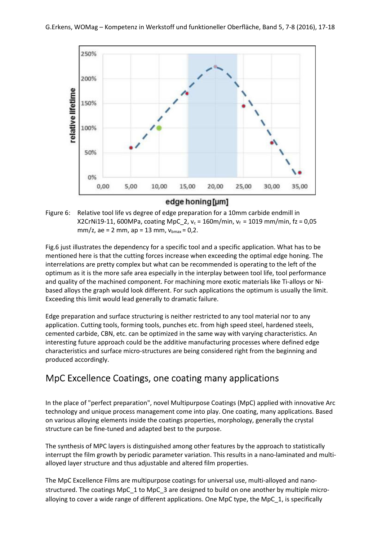

edge honing [µm]



Fig.6 just illustrates the dependency for a specific tool and a specific application. What has to be mentioned here is that the cutting forces increase when exceeding the optimal edge honing. The interrelations are pretty complex but what can be recommended is operating to the left of the optimum as it is the more safe area especially in the interplay between tool life, tool performance and quality of the machined component. For machining more exotic materials like Ti-alloys or Nibased alloys the graph would look different. For such applications the optimum is usually the limit. Exceeding this limit would lead generally to dramatic failure.

Edge preparation and surface structuring is neither restricted to any tool material nor to any application. Cutting tools, forming tools, punches etc. from high speed steel, hardened steels, cemented carbide, CBN, etc. can be optimized in the same way with varying characteristics. An interesting future approach could be the additive manufacturing processes where defined edge characteristics and surface micro-structures are being considered right from the beginning and produced accordingly.

## MpC Excellence Coatings, one coating many applications

In the place of "perfect preparation", novel Multipurpose Coatings (MpC) applied with innovative Arc technology and unique process management come into play. One coating, many applications. Based on various alloying elements inside the coatings properties, morphology, generally the crystal structure can be fine-tuned and adapted best to the purpose.

The synthesis of MPC layers is distinguished among other features by the approach to statistically interrupt the film growth by periodic parameter variation. This results in a nano-laminated and multialloyed layer structure and thus adjustable and altered film properties.

The MpC Excellence Films are multipurpose coatings for universal use, multi-alloyed and nanostructured. The coatings MpC\_1 to MpC\_3 are designed to build on one another by multiple microalloying to cover a wide range of different applications. One MpC type, the MpC\_1, is specifically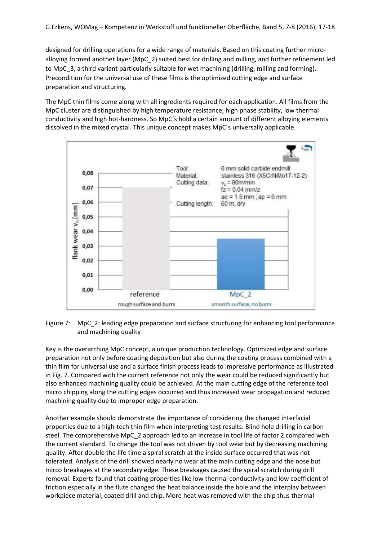designed for drilling operations for a wide range of materials. Based on this coating further microalloying formed another layer (MpC\_2) suited best for drilling and milling, and further refinement led to MpC\_3, a third variant particularly suitable for wet machining (drilling, milling and forming). Precondition for the universal use of these films is the optimized cutting edge and surface preparation and structuring.

The MpC thin films come along with all ingredients required for each application. All films from the MpC cluster are distinguished by high temperature resistance, high phase stability, low thermal conductivity and high hot-hardness. So MpC´s hold a certain amount of different alloying elements dissolved in the mixed crystal. This unique concept makes MpC´s universally applicable.



Figure 7: MpC\_2: leading edge preparation and surface structuring for enhancing tool performance and machining quality

Key is the overarching MpC concept, a unique production technology. Optimized edge and surface preparation not only before coating deposition but also during the coating process combined with a thin film for universal use and a surface finish process leads to impressive performance as illustrated in Fig. 7. Compared with the current reference not only the wear could be reduced significantly but also enhanced machining quality could be achieved. At the main cutting edge of the reference tool micro chipping along the cutting edges occurred and thus increased wear propagation and reduced machining quality due to improper edge preparation.

Another example should demonstrate the importance of considering the changed interfacial properties due to a high-tech thin film when interpreting test results. Blind hole drilling in carbon steel. The comprehensive MpC\_2 approach led to an increase in tool life of factor 2 compared with the current standard. To change the tool was not driven by tool wear but by decreasing machining quality. After double the life time a spiral scratch at the inside surface occurred that was not tolerated. Analysis of the drill showed nearly no wear at the main cutting edge and the nose but mirco breakages at the secondary edge. These breakages caused the spiral scratch during drill removal. Experts found that coating properties like low thermal conductivity and low coefficient of friction especially in the flute changed the heat balance inside the hole and the interplay between workpiece material, coated drill and chip. More heat was removed with the chip thus thermal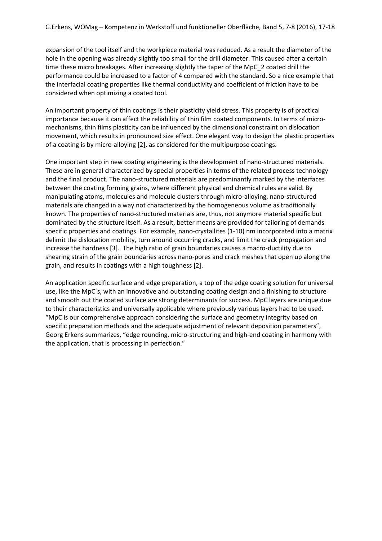expansion of the tool itself and the workpiece material was reduced. As a result the diameter of the hole in the opening was already slightly too small for the drill diameter. This caused after a certain time these micro breakages. After increasing slightly the taper of the MpC\_2 coated drill the performance could be increased to a factor of 4 compared with the standard. So a nice example that the interfacial coating properties like thermal conductivity and coefficient of friction have to be considered when optimizing a coated tool.

An important property of thin coatings is their plasticity yield stress. This property is of practical importance because it can affect the reliability of thin film coated components. In terms of micromechanisms, thin films plasticity can be influenced by the dimensional constraint on dislocation movement, which results in pronounced size effect. One elegant way to design the plastic properties of a coating is by micro-alloying [2], as considered for the multipurpose coatings.

One important step in new coating engineering is the development of nano-structured materials. These are in general characterized by special properties in terms of the related process technology and the final product. The nano-structured materials are predominantly marked by the interfaces between the coating forming grains, where different physical and chemical rules are valid. By manipulating atoms, molecules and molecule clusters through micro-alloying, nano-structured materials are changed in a way not characterized by the homogeneous volume as traditionally known. The properties of nano-structured materials are, thus, not anymore material specific but dominated by the structure itself. As a result, better means are provided for tailoring of demands specific properties and coatings. For example, nano-crystallites (1-10) nm incorporated into a matrix delimit the dislocation mobility, turn around occurring cracks, and limit the crack propagation and increase the hardness [3]. The high ratio of grain boundaries causes a macro-ductility due to shearing strain of the grain boundaries across nano-pores and crack meshes that open up along the grain, and results in coatings with a high toughness [2].

An application specific surface and edge preparation, a top of the edge coating solution for universal use, like the MpC´s, with an innovative and outstanding coating design and a finishing to structure and smooth out the coated surface are strong determinants for success. MpC layers are unique due to their characteristics and universally applicable where previously various layers had to be used. "MpC is our comprehensive approach considering the surface and geometry integrity based on specific preparation methods and the adequate adjustment of relevant deposition parameters", Georg Erkens summarizes, "edge rounding, micro-structuring and high-end coating in harmony with the application, that is processing in perfection."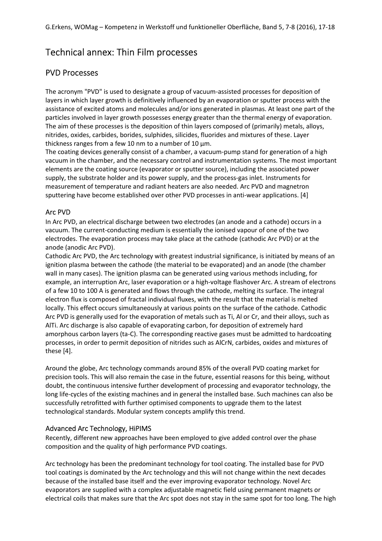## Technical annex: Thin Film processes

### PVD Processes

The acronym "PVD" is used to designate a group of vacuum-assisted processes for deposition of layers in which layer growth is definitively influenced by an evaporation or sputter process with the assistance of excited atoms and molecules and/or ions generated in plasmas. At least one part of the particles involved in layer growth possesses energy greater than the thermal energy of evaporation. The aim of these processes is the deposition of thin layers composed of (primarily) metals, alloys, nitrides, oxides, carbides, borides, sulphides, silicides, fluorides and mixtures of these. Layer thickness ranges from a few 10 nm to a number of 10  $\mu$ m.

The coating devices generally consist of a chamber, a vacuum-pump stand for generation of a high vacuum in the chamber, and the necessary control and instrumentation systems. The most important elements are the coating source (evaporator or sputter source), including the associated power supply, the substrate holder and its power supply, and the process-gas inlet. Instruments for measurement of temperature and radiant heaters are also needed. Arc PVD and magnetron sputtering have become established over other PVD processes in anti-wear applications. [4]

#### Arc PVD

In Arc PVD, an electrical discharge between two electrodes (an anode and a cathode) occurs in a vacuum. The current-conducting medium is essentially the ionised vapour of one of the two electrodes. The evaporation process may take place at the cathode (cathodic Arc PVD) or at the anode (anodic Arc PVD).

Cathodic Arc PVD, the Arc technology with greatest industrial significance, is initiated by means of an ignition plasma between the cathode (the material to be evaporated) and an anode (the chamber wall in many cases). The ignition plasma can be generated using various methods including, for example, an interruption Arc, laser evaporation or a high-voltage flashover Arc. A stream of electrons of a few 10 to 100 A is generated and flows through the cathode, melting its surface. The integral electron flux is composed of fractal individual fluxes, with the result that the material is melted locally. This effect occurs simultaneously at various points on the surface of the cathode. Cathodic Arc PVD is generally used for the evaporation of metals such as Ti, Al or Cr, and their alloys, such as AlTi. Arc discharge is also capable of evaporating carbon, for deposition of extremely hard amorphous carbon layers (ta-C). The corresponding reactive gases must be admitted to hardcoating processes, in order to permit deposition of nitrides such as AlCrN, carbides, oxides and mixtures of these [4].

Around the globe, Arc technology commands around 85% of the overall PVD coating market for precision tools. This will also remain the case in the future, essential reasons for this being, without doubt, the continuous intensive further development of processing and evaporator technology, the long life-cycles of the existing machines and in general the installed base. Such machines can also be successfully retrofitted with further optimised components to upgrade them to the latest technological standards. Modular system concepts amplify this trend.

#### Advanced Arc Technology, HiPIMS

Recently, different new approaches have been employed to give added control over the phase composition and the quality of high performance PVD coatings.

Arc technology has been the predominant technology for tool coating. The installed base for PVD tool coatings is dominated by the Arc technology and this will not change within the next decades because of the installed base itself and the ever improving evaporator technology. Novel Arc evaporators are supplied with a complex adjustable magnetic field using permanent magnets or electrical coils that makes sure that the Arc spot does not stay in the same spot for too long. The high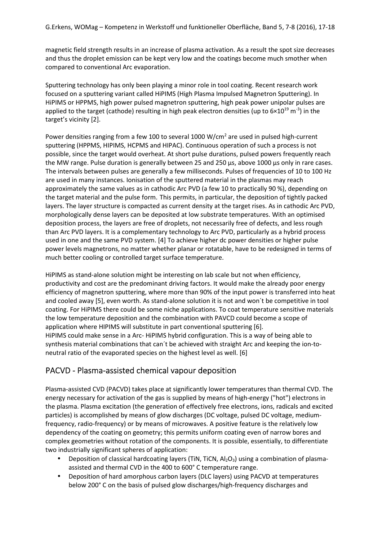magnetic field strength results in an increase of plasma activation. As a result the spot size decreases and thus the droplet emission can be kept very low and the coatings become much smother when compared to conventional Arc evaporation.

Sputtering technology has only been playing a minor role in tool coating. Recent research work focused on a sputtering variant called HiPIMS (High Plasma Impulsed Magnetron Sputtering). In HiPIMS or HPPMS, high power pulsed magnetron sputtering, high peak power unipolar pulses are applied to the target (cathode) resulting in high peak electron densities (up to  $6\times10^{19}$  m<sup>-3</sup>) in the target's vicinity [2].

Power densities ranging from a few 100 to several 1000 W/cm<sup>2</sup> are used in pulsed high-current sputtering (HPPMS, HIPIMS, HCPMS and HIPAC). Continuous operation of such a process is not possible, since the target would overheat. At short pulse durations, pulsed powers frequently reach the MW range. Pulse duration is generally between 25 and 250 µs, above 1000 µs only in rare cases. The intervals between pulses are generally a few milliseconds. Pulses of frequencies of 10 to 100 Hz are used in many instances. Ionisation of the sputtered material in the plasmas may reach approximately the same values as in cathodic Arc PVD (a few 10 to practically 90 %), depending on the target material and the pulse form. This permits, in particular, the deposition of tightly packed layers. The layer structure is compacted as current density at the target rises. As in cathodic Arc PVD, morphologically dense layers can be deposited at low substrate temperatures. With an optimised deposition process, the layers are free of droplets, not necessarily free of defects, and less rough than Arc PVD layers. It is a complementary technology to Arc PVD, particularly as a hybrid process used in one and the same PVD system. [4] To achieve higher dc power densities or higher pulse power levels magnetrons, no matter whether planar or rotatable, have to be redesigned in terms of much better cooling or controlled target surface temperature.

HiPIMS as stand-alone solution might be interesting on lab scale but not when efficiency, productivity and cost are the predominant driving factors. It would make the already poor energy efficiency of magnetron sputtering, where more than 90% of the input power is transferred into heat and cooled away [5], even worth. As stand-alone solution it is not and won´t be competitive in tool coating. For HiPIMS there could be some niche applications. To coat temperature sensitive materials the low temperature deposition and the combination with PAVCD could become a scope of application where HIPIMS will substitute in part conventional sputtering [6]. HiPIMS could make sense in a Arc- HiPIMS hybrid configuration. This is a way of being able to synthesis material combinations that can´t be achieved with straight Arc and keeping the ion-toneutral ratio of the evaporated species on the highest level as well. [6]

### PACVD - Plasma-assisted chemical vapour deposition

Plasma-assisted CVD (PACVD) takes place at significantly lower temperatures than thermal CVD. The energy necessary for activation of the gas is supplied by means of high-energy ("hot") electrons in the plasma. Plasma excitation (the generation of effectively free electrons, ions, radicals and excited particles) is accomplished by means of glow discharges (DC voltage, pulsed DC voltage, mediumfrequency, radio-frequency) or by means of microwaves. A positive feature is the relatively low dependency of the coating on geometry; this permits uniform coating even of narrow bores and complex geometries without rotation of the components. It is possible, essentially, to differentiate two industrially significant spheres of application:

- Deposition of classical hardcoating layers (TiN, TiCN,  $Al_2O_3$ ) using a combination of plasmaassisted and thermal CVD in the 400 to 600° C temperature range.
- Deposition of hard amorphous carbon layers (DLC layers) using PACVD at temperatures below 200° C on the basis of pulsed glow discharges/high-frequency discharges and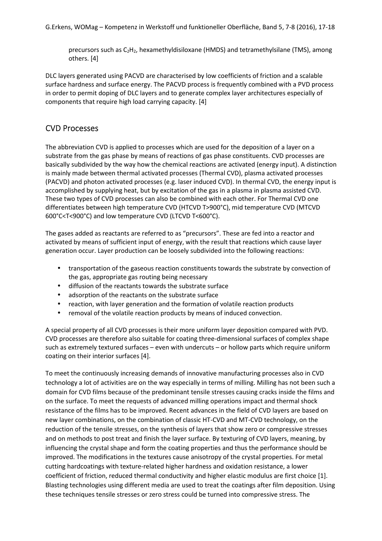precursors such as C2H2, hexamethyldisiloxane (HMDS) and tetramethylsilane (TMS), among others. [4]

DLC layers generated using PACVD are characterised by low coefficients of friction and a scalable surface hardness and surface energy. The PACVD process is frequently combined with a PVD process in order to permit doping of DLC layers and to generate complex layer architectures especially of components that require high load carrying capacity. [4]

#### CVD Processes

The abbreviation CVD is applied to processes which are used for the deposition of a layer on a substrate from the gas phase by means of reactions of gas phase constituents. CVD processes are basically subdivided by the way how the chemical reactions are activated (energy input). A distinction is mainly made between thermal activated processes (Thermal CVD), plasma activated processes (PACVD) and photon activated processes (e.g. laser induced CVD). In thermal CVD, the energy input is accomplished by supplying heat, but by excitation of the gas in a plasma in plasma assisted CVD. These two types of CVD processes can also be combined with each other. For Thermal CVD one differentiates between high temperature CVD (HTCVD T>900°C), mid temperature CVD (MTCVD 600°C<T<900°C) and low temperature CVD (LTCVD T<600°C).

The gases added as reactants are referred to as "precursors". These are fed into a reactor and activated by means of sufficient input of energy, with the result that reactions which cause layer generation occur. Layer production can be loosely subdivided into the following reactions:

- transportation of the gaseous reaction constituents towards the substrate by convection of the gas, appropriate gas routing being necessary
- diffusion of the reactants towards the substrate surface
- adsorption of the reactants on the substrate surface
- reaction, with layer generation and the formation of volatile reaction products
- removal of the volatile reaction products by means of induced convection.

A special property of all CVD processes is their more uniform layer deposition compared with PVD. CVD processes are therefore also suitable for coating three-dimensional surfaces of complex shape such as extremely textured surfaces – even with undercuts – or hollow parts which require uniform coating on their interior surfaces [4].

To meet the continuously increasing demands of innovative manufacturing processes also in CVD technology a lot of activities are on the way especially in terms of milling. Milling has not been such a domain for CVD films because of the predominant tensile stresses causing cracks inside the films and on the surface. To meet the requests of advanced milling operations impact and thermal shock resistance of the films has to be improved. Recent advances in the field of CVD layers are based on new layer combinations, on the combination of classic HT-CVD and MT-CVD technology, on the reduction of the tensile stresses, on the synthesis of layers that show zero or compressive stresses and on methods to post treat and finish the layer surface. By texturing of CVD layers, meaning, by influencing the crystal shape and form the coating properties and thus the performance should be improved. The modifications in the textures cause anisotropy of the crystal properties. For metal cutting hardcoatings with texture-related higher hardness and oxidation resistance, a lower coefficient of friction, reduced thermal conductivity and higher elastic modulus are first choice [1]. Blasting technologies using different media are used to treat the coatings after film deposition. Using these techniques tensile stresses or zero stress could be turned into compressive stress. The